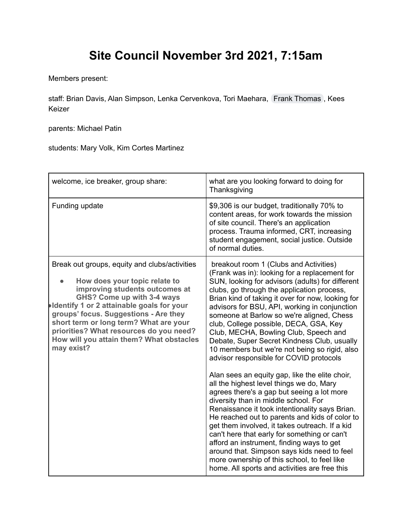## **Site Council November 3rd 2021, 7:15am**

Members present:

staff: Brian Davis, Alan Simpson, Lenka Cervenkova, Tori Maehara, Frank [Thomas](mailto:thomas35@gresham.k12.or.us) , Kees Keizer

parents: Michael Patin

students: Mary Volk, Kim Cortes Martinez

| welcome, ice breaker, group share:                                                                                                                                                                                                                                                                                                                                                         | what are you looking forward to doing for<br>Thanksgiving                                                                                                                                                                                                                                                                                                                                                                                                                                                                                                                                                                                                                                                                                                                                                                                                                                                                                                                                                                                                                                                                                                        |
|--------------------------------------------------------------------------------------------------------------------------------------------------------------------------------------------------------------------------------------------------------------------------------------------------------------------------------------------------------------------------------------------|------------------------------------------------------------------------------------------------------------------------------------------------------------------------------------------------------------------------------------------------------------------------------------------------------------------------------------------------------------------------------------------------------------------------------------------------------------------------------------------------------------------------------------------------------------------------------------------------------------------------------------------------------------------------------------------------------------------------------------------------------------------------------------------------------------------------------------------------------------------------------------------------------------------------------------------------------------------------------------------------------------------------------------------------------------------------------------------------------------------------------------------------------------------|
| Funding update                                                                                                                                                                                                                                                                                                                                                                             | \$9,306 is our budget, traditionally 70% to<br>content areas, for work towards the mission<br>of site council. There's an application<br>process. Trauma informed, CRT, increasing<br>student engagement, social justice. Outside<br>of normal duties.                                                                                                                                                                                                                                                                                                                                                                                                                                                                                                                                                                                                                                                                                                                                                                                                                                                                                                           |
| Break out groups, equity and clubs/activities<br>How does your topic relate to<br>improving students outcomes at<br>GHS? Come up with 3-4 ways<br><b>Identify 1 or 2 attainable goals for your</b><br>groups' focus. Suggestions - Are they<br>short term or long term? What are your<br>priorities? What resources do you need?<br>How will you attain them? What obstacles<br>may exist? | breakout room 1 (Clubs and Activities)<br>(Frank was in): looking for a replacement for<br>SUN, looking for advisors (adults) for different<br>clubs, go through the application process,<br>Brian kind of taking it over for now, looking for<br>advisors for BSU, API, working in conjunction<br>someone at Barlow so we're aligned, Chess<br>club, College possible, DECA, GSA, Key<br>Club, MECHA, Bowling Club, Speech and<br>Debate, Super Secret Kindness Club, usually<br>10 members but we're not being so rigid, also<br>advisor responsible for COVID protocols<br>Alan sees an equity gap, like the elite choir,<br>all the highest level things we do, Mary<br>agrees there's a gap but seeing a lot more<br>diversity than in middle school. For<br>Renaissance it took intentionality says Brian.<br>He reached out to parents and kids of color to<br>get them involved, it takes outreach. If a kid<br>can't here that early for something or can't<br>afford an instrument, finding ways to get<br>around that. Simpson says kids need to feel<br>more ownership of this school, to feel like<br>home. All sports and activities are free this |